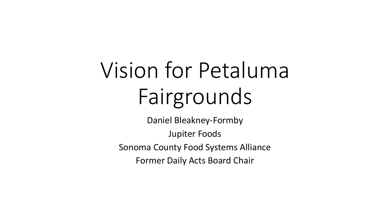# Vision for Petaluma Fairgrounds

Daniel Bleakney-Formby Jupiter Foods Sonoma County Food Systems Alliance Former Daily Acts Board Chair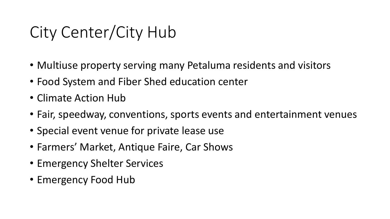## City Center/City Hub

- Multiuse property serving many Petaluma residents and visitors
- Food System and Fiber Shed education center
- Climate Action Hub
- Fair, speedway, conventions, sports events and entertainment venues
- Special event venue for private lease use
- Farmers' Market, Antique Faire, Car Shows
- Emergency Shelter Services
- Emergency Food Hub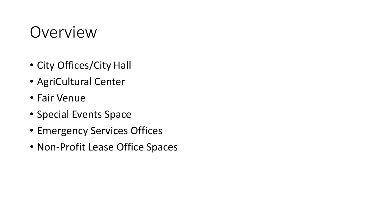#### Overview

- City Offices/City Hall
- AgriCultural Center
- Fair Venue
- Special Events Space
- Emergency Services Offices
- Non-Profit Lease Office Spaces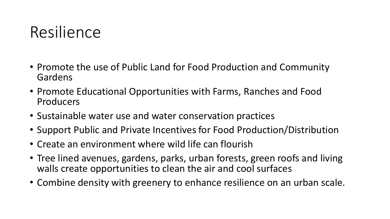### Resilience

- Promote the use of Public Land for Food Production and Community Gardens
- Promote Educational Opportunities with Farms, Ranches and Food Producers
- Sustainable water use and water conservation practices
- Support Public and Private Incentives for Food Production/Distribution
- Create an environment where wild life can flourish
- Tree lined avenues, gardens, parks, urban forests, green roofs and living walls create opportunities to clean the air and cool surfaces
- Combine density with greenery to enhance resilience on an urban scale.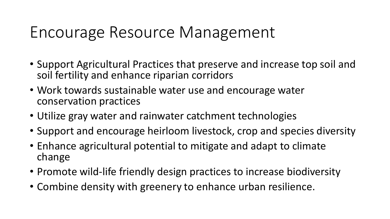### Encourage Resource Management

- Support Agricultural Practices that preserve and increase top soil and soil fertility and enhance riparian corridors
- Work towards sustainable water use and encourage water conservation practices
- Utilize gray water and rainwater catchment technologies
- Support and encourage heirloom livestock, crop and species diversity
- Enhance agricultural potential to mitigate and adapt to climate change
- Promote wild-life friendly design practices to increase biodiversity
- Combine density with greenery to enhance urban resilience.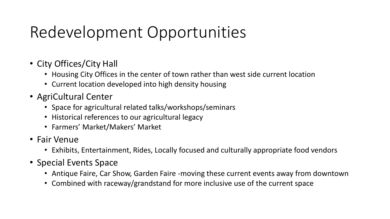## Redevelopment Opportunities

- City Offices/City Hall
	- Housing City Offices in the center of town rather than west side current location
	- Current location developed into high density housing
- AgriCultural Center
	- Space for agricultural related talks/workshops/seminars
	- Historical references to our agricultural legacy
	- Farmers' Market/Makers' Market
- Fair Venue
	- Exhibits, Entertainment, Rides, Locally focused and culturally appropriate food vendors
- Special Events Space
	- Antique Faire, Car Show, Garden Faire -moving these current events away from downtown
	- Combined with raceway/grandstand for more inclusive use of the current space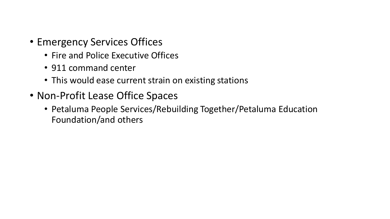- Emergency Services Offices
	- Fire and Police Executive Offices
	- 911 command center
	- This would ease current strain on existing stations
- Non-Profit Lease Office Spaces
	- Petaluma People Services/Rebuilding Together/Petaluma Education Foundation/and others